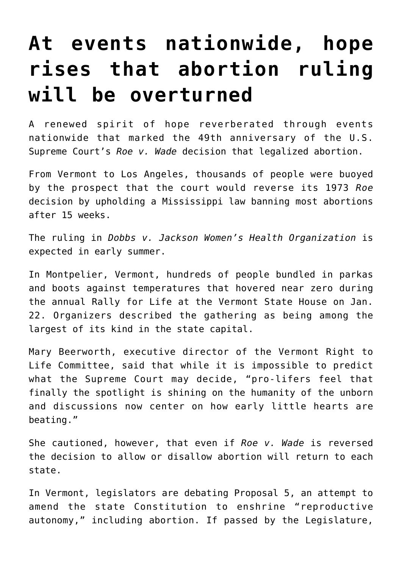## **[At events nationwide, hope](https://www.osvnews.com/amp/2022/01/25/at-events-nationwide-hope-rises-that-abortion-ruling-will-be-overturned/) [rises that abortion ruling](https://www.osvnews.com/amp/2022/01/25/at-events-nationwide-hope-rises-that-abortion-ruling-will-be-overturned/) [will be overturned](https://www.osvnews.com/amp/2022/01/25/at-events-nationwide-hope-rises-that-abortion-ruling-will-be-overturned/)**

A renewed spirit of hope reverberated through events nationwide that marked the 49th anniversary of the U.S. Supreme Court's *Roe v. Wade* decision that legalized abortion.

From Vermont to Los Angeles, thousands of people were buoyed by the prospect that the court would reverse its 1973 *Roe* decision by upholding a Mississippi law banning most abortions after 15 weeks.

The ruling in *Dobbs v. Jackson Women's Health Organization* is expected in early summer.

In Montpelier, Vermont, hundreds of people bundled in parkas and boots against temperatures that hovered near zero during the annual Rally for Life at the Vermont State House on Jan. 22. Organizers described the gathering as being among the largest of its kind in the state capital.

Mary Beerworth, executive director of the Vermont Right to Life Committee, said that while it is impossible to predict what the Supreme Court may decide, "pro-lifers feel that finally the spotlight is shining on the humanity of the unborn and discussions now center on how early little hearts are beating."

She cautioned, however, that even if *Roe v. Wade* is reversed the decision to allow or disallow abortion will return to each state.

In Vermont, legislators are debating Proposal 5, an attempt to amend the state Constitution to enshrine "reproductive autonomy," including abortion. If passed by the Legislature,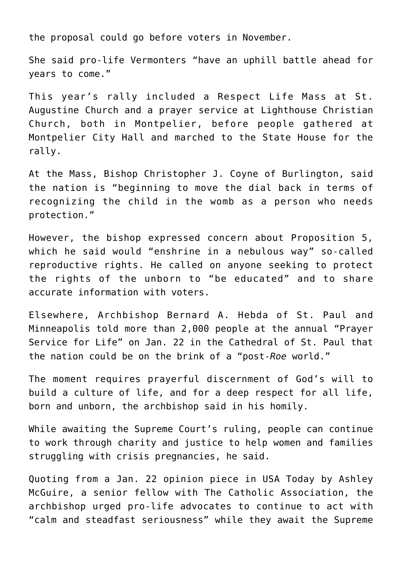the proposal could go before voters in November.

She said pro-life Vermonters "have an uphill battle ahead for years to come."

This year's rally included a Respect Life Mass at St. Augustine Church and a prayer service at Lighthouse Christian Church, both in Montpelier, before people gathered at Montpelier City Hall and marched to the State House for the rally.

At the Mass, Bishop Christopher J. Coyne of Burlington, said the nation is "beginning to move the dial back in terms of recognizing the child in the womb as a person who needs protection."

However, the bishop expressed concern about Proposition 5, which he said would "enshrine in a nebulous way" so-called reproductive rights. He called on anyone seeking to protect the rights of the unborn to "be educated" and to share accurate information with voters.

Elsewhere, Archbishop Bernard A. Hebda of St. Paul and Minneapolis told more than 2,000 people at the annual "Prayer Service for Life" on Jan. 22 in the Cathedral of St. Paul that the nation could be on the brink of a "post-*Roe* world."

The moment requires prayerful discernment of God's will to build a culture of life, and for a deep respect for all life, born and unborn, the archbishop said in his homily.

While awaiting the Supreme Court's ruling, people can continue to work through charity and justice to help women and families struggling with crisis pregnancies, he said.

Quoting from a Jan. 22 opinion piece in USA Today by Ashley McGuire, a senior fellow with The Catholic Association, the archbishop urged pro-life advocates to continue to act with "calm and steadfast seriousness" while they await the Supreme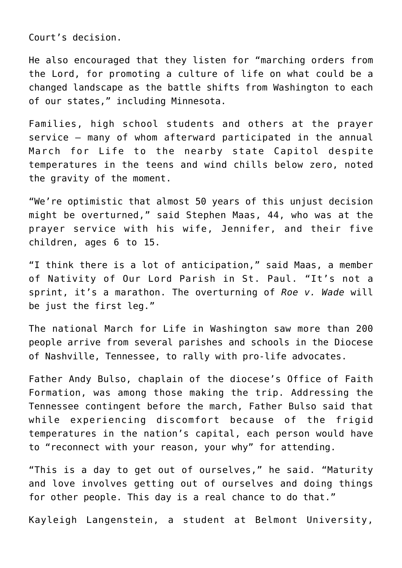Court's decision.

He also encouraged that they listen for "marching orders from the Lord, for promoting a culture of life on what could be a changed landscape as the battle shifts from Washington to each of our states," including Minnesota.

Families, high school students and others at the prayer service — many of whom afterward participated in the annual March for Life to the nearby state Capitol despite temperatures in the teens and wind chills below zero, noted the gravity of the moment.

"We're optimistic that almost 50 years of this unjust decision might be overturned," said Stephen Maas, 44, who was at the prayer service with his wife, Jennifer, and their five children, ages 6 to 15.

"I think there is a lot of anticipation," said Maas, a member of Nativity of Our Lord Parish in St. Paul. "It's not a sprint, it's a marathon. The overturning of *Roe v. Wade* will be just the first leg."

The national March for Life in Washington saw more than 200 people arrive from several parishes and schools in the Diocese of Nashville, Tennessee, to rally with pro-life advocates.

Father Andy Bulso, chaplain of the diocese's Office of Faith Formation, was among those making the trip. Addressing the Tennessee contingent before the march, Father Bulso said that while experiencing discomfort because of the frigid temperatures in the nation's capital, each person would have to "reconnect with your reason, your why" for attending.

"This is a day to get out of ourselves," he said. "Maturity and love involves getting out of ourselves and doing things for other people. This day is a real chance to do that."

Kayleigh Langenstein, a student at Belmont University,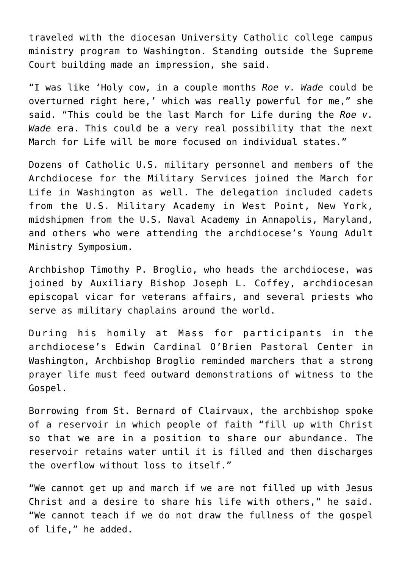traveled with the diocesan University Catholic college campus ministry program to Washington. Standing outside the Supreme Court building made an impression, she said.

"I was like 'Holy cow, in a couple months *Roe v. Wade* could be overturned right here,' which was really powerful for me," she said. "This could be the last March for Life during the *Roe v. Wade* era. This could be a very real possibility that the next March for Life will be more focused on individual states."

Dozens of Catholic U.S. military personnel and members of the Archdiocese for the Military Services joined the March for Life in Washington as well. The delegation included cadets from the U.S. Military Academy in West Point, New York, midshipmen from the U.S. Naval Academy in Annapolis, Maryland, and others who were attending the archdiocese's Young Adult Ministry Symposium.

Archbishop Timothy P. Broglio, who heads the archdiocese, was joined by Auxiliary Bishop Joseph L. Coffey, archdiocesan episcopal vicar for veterans affairs, and several priests who serve as military chaplains around the world.

During his homily at Mass for participants in the archdiocese's Edwin Cardinal O'Brien Pastoral Center in Washington, Archbishop Broglio reminded marchers that a strong prayer life must feed outward demonstrations of witness to the Gospel.

Borrowing from St. Bernard of Clairvaux, the archbishop spoke of a reservoir in which people of faith "fill up with Christ so that we are in a position to share our abundance. The reservoir retains water until it is filled and then discharges the overflow without loss to itself."

"We cannot get up and march if we are not filled up with Jesus Christ and a desire to share his life with others," he said. "We cannot teach if we do not draw the fullness of the gospel of life," he added.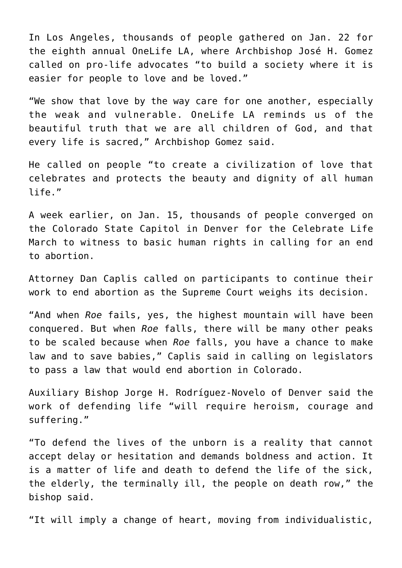In Los Angeles, thousands of people gathered on Jan. 22 for the eighth annual OneLife LA, where Archbishop José H. Gomez called on pro-life advocates "to build a society where it is easier for people to love and be loved."

"We show that love by the way care for one another, especially the weak and vulnerable. OneLife LA reminds us of the beautiful truth that we are all children of God, and that every life is sacred," Archbishop Gomez said.

He called on people "to create a civilization of love that celebrates and protects the beauty and dignity of all human life."

A week earlier, on Jan. 15, thousands of people converged on the Colorado State Capitol in Denver for the Celebrate Life March to witness to basic human rights in calling for an end to abortion.

Attorney Dan Caplis called on participants to continue their work to end abortion as the Supreme Court weighs its decision.

"And when *Roe* fails, yes, the highest mountain will have been conquered. But when *Roe* falls, there will be many other peaks to be scaled because when *Roe* falls, you have a chance to make law and to save babies," Caplis said in calling on legislators to pass a law that would end abortion in Colorado.

Auxiliary Bishop Jorge H. Rodríguez-Novelo of Denver said the work of defending life "will require heroism, courage and suffering."

"To defend the lives of the unborn is a reality that cannot accept delay or hesitation and demands boldness and action. It is a matter of life and death to defend the life of the sick, the elderly, the terminally ill, the people on death row," the bishop said.

"It will imply a change of heart, moving from individualistic,